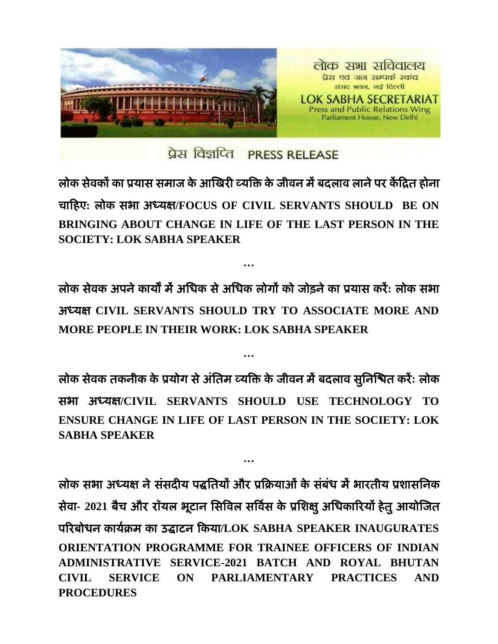

प्रेस विज्ञप्ति PRESS RELEASE

लोक सेवकों का प्रयास समाज के आखिरी व्यक्ति के जीवन में बदलाव लाने पर केंद्रित होना चाद्रहए**:** रोक सबा अध्मऺ**/FOCUS OF CIVIL SERVANTS SHOULD BE ON BRINGING ABOUT CHANGE IN LIFE OF THE LAST PERSON IN THE SOCIETY: LOK SABHA SPEAKER** 

रोक सेवक अऩनेकामों भेंअधधक सेअधधक रोगों को जोड़नेका प्रमास कयें**:** रोक सबा अध्मऺ **CIVIL SERVANTS SHOULD TRY TO ASSOCIATE MORE AND MORE PEOPLE IN THEIR WORK: LOK SABHA SPEAKER** 

**…**

**…**

रोक सेवक तकनीक के प्रमोग सेअॊधतभ व्मक्ति के जीवन भेंफदराव सुधनखित कयें**:** रोक सबा अध्मऺ**/CIVIL SERVANTS SHOULD USE TECHNOLOGY TO ENSURE CHANGE IN LIFE OF LAST PERSON IN THE SOCIETY: LOK SABHA SPEAKER** 

**…**

लोक सभा अध्यक्ष ने संसदीय पद्धतियों और प्रक्रियाओं के संबंध में भारतीय प्रशासनिक सेवा- 2021 बैच और रॉयल भूटान सिविल सर्विस के प्रशिक्षु अधिकारियों हेतु आयोजित ऩरयफोधन कामििभ का उद्घाटन द्रकमा**/LOK SABHA SPEAKER INAUGURATES ORIENTATION PROGRAMME FOR TRAINEE OFFICERS OF INDIAN ADMINISTRATIVE SERVICE-2021 BATCH AND ROYAL BHUTAN CIVIL SERVICE ON PARLIAMENTARY PRACTICES AND PROCEDURES**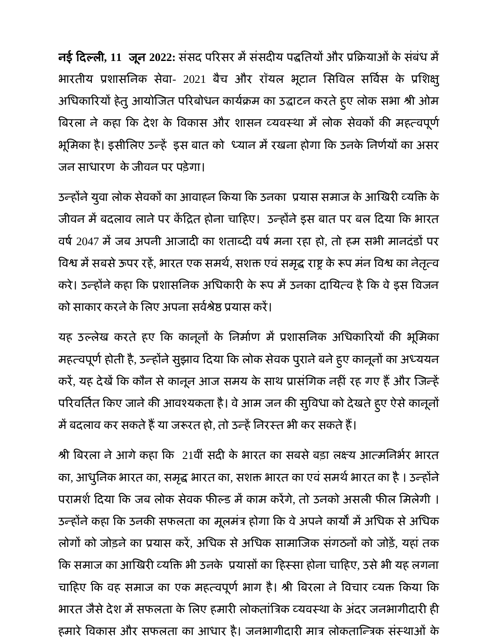नई द्रदल्री**, 11** जून **2022:** सॊसद ऩरयसय भेंसॊसदीम ऩद्धधतमों औय प्रद्रिमाओॊके सॊफॊध भें भारतीय प्रशासनिक सेवा- 2021 बैच और रॉयल भूटान सिविल सर्विस के प्रशिक्षु अधिकारियों हेतु आयोजित परिबोधन कार्यक्रम का उद्घाटन करते हुए लोक सभा श्री ओम बिरला ने कहा कि देश के विकास और शासन व्यवस्था में लोक सेवकों की महत्वपूर्ण भूमिका है। इसीलिए उन्हें इस बात को ध्यान में रखना होगा कि उनके निर्णयों का असर जन साधारण के जीवन पर पड़ेगा।

उन्होंने युवा लोक सेवकों का आवाहन किया कि उनका प्रयास समाज के आखिरी व्यक्ति के जीवन में बदलाव लाने पर केंद्रित होना चाहिए। उन्होंने इस बात पर बल दिया कि भारत वर्ष 2047 में जब अपनी आजादी का शताब्दी वर्ष मना रहा हो, तो हम सभी मानदंडों पर विश्व में सबसे ऊपर रहें, भारत एक समर्थ, सशक्त एवं समृद्ध राष्ट्र के रूप मंन विश्व का नेतृत्व करे। उन्होंने कहा कि प्रशासनिक अधिकारी के रूप में उनका दायित्व है कि वे इस विजन को साकार करने के लिए अपना सर्वश्रेष्ठ प्रयास करें।

यह उल्लेख करते हुए कि कानूनों के निर्माण में प्रशासनिक अधिकारियों की भूमिका महत्वपूर्ण होती है, उन्होंने सुझाव दिया कि लोक सेवक पुराने बने हुए कानूनों का अध्ययन करें, यह देखें कि कौन से कानून आज समय के साथ प्रासंगिक नहीं रह गए हैं और जिन्हें परिवर्तित किए जाने की आवश्यकता है। वे आम जन की सुविधा को देखते हुए ऐसे कानूनो में बदलाव कर सकते हैं या जरूरत हो, तो उन्हें निरस्त भी कर सकते हैं।

श्री बिरला ने आगे कहा कि 21वीं सदी के भारत का सबसे बड़ा लक्ष्य आत्मनिर्भर भारत का, आधुनिक भारत का, समृद्ध भारत का, सशक्त भारत का एवं समर्थ भारत का है । उन्होंने परामर्श दिया कि जब लोक सेवक फील्ड में काम करेंगे. तो उनको असली फील मिलेगी । उन्होंने कहा कि उनकी सफलता का मूलमंत्र होगा कि वे अपने कार्यों में अधिक से अधिक लोगों को जोड़ने का प्रयास करें, अधिक से अधिक सामाजिक संगठनों को जोड़ें, यहां तक द्रक सभाज का आखियी व्मक्ति बी उनके प्रमासों का द्रहस्सा होना चाद्रहए, उसेबी मह रगना चाहिए कि वह समाज का एक महत्वपूर्ण भाग है। श्री बिरला ने विचार व्यक्त किया कि भारत जैसे देश में सफलता के लिए हमारी लोकतांत्रिक व्यवस्था के अंदर जनभागीदारी ही हमारे विकास और सफलता का आधार है। जनभागीदारी मात्र लोकतान्त्रिक संस्थाओं के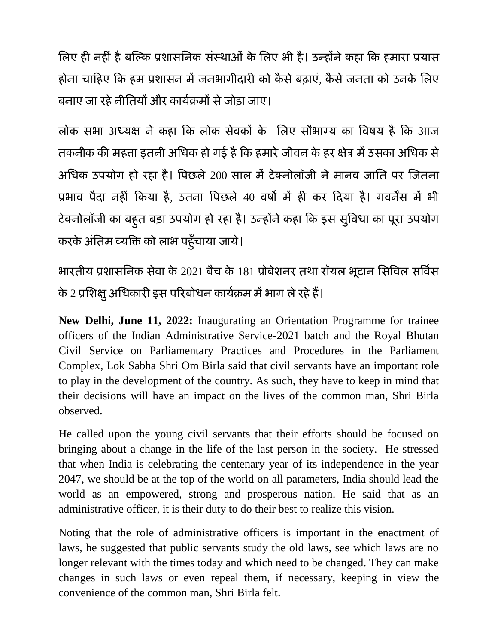लिए ही नहीं है बल्कि प्रशासनिक संस्थाओं के लिए भी है। उन्होंने कहा कि हमारा प्रयास होना चाहिए कि हम प्रशासन में जनभागीदारी को कैसे बढाएं, कैसे जनता को उनके लिए बनाए जा रहे नीतियों और कार्यक्रमों से जोड़ा जाए।

लोक सभा अध्यक्ष ने कहा कि लोक सेवकों के लिए सौभाग्य का विषय है कि आज तकनीक की महत्ता इतनी अधिक हो गई है कि हमारे जीवन के हर क्षेत्र में उसका अधिक से अधिक उपयोग हो रहा है। पिछले 200 साल में टेक्नोलॉजी ने मानव जाति पर जितना प्रभाव पैदा नहीं किया है, उतना पिछले 40 वर्षों में ही कर दिया है। गवर्नेंस में भी टेक्नोलॉजी का बहुत बड़ा उपयोग हो रहा है। उन्होंने कहा कि इस सुविधा का पूरा उपयोग करके अतिम व्यक्ति को लाभ पहुँचाया जाये।

बायतीम प्रशासधनक सेवा के 2021 फैच के 181 प्रोफेशनय तथा यॉमर बूटान धसक्तवर सक्तविस के 2 प्रशिक्षु अधिकारी इस परिबोधन कार्यक्रम में भाग ले रहे हैं।

**New Delhi, June 11, 2022:** Inaugurating an Orientation Programme for trainee officers of the Indian Administrative Service-2021 batch and the Royal Bhutan Civil Service on Parliamentary Practices and Procedures in the Parliament Complex, Lok Sabha Shri Om Birla said that civil servants have an important role to play in the development of the country. As such, they have to keep in mind that their decisions will have an impact on the lives of the common man, Shri Birla observed.

He called upon the young civil servants that their efforts should be focused on bringing about a change in the life of the last person in the society. He stressed that when India is celebrating the centenary year of its independence in the year 2047, we should be at the top of the world on all parameters, India should lead the world as an empowered, strong and prosperous nation. He said that as an administrative officer, it is their duty to do their best to realize this vision.

Noting that the role of administrative officers is important in the enactment of laws, he suggested that public servants study the old laws, see which laws are no longer relevant with the times today and which need to be changed. They can make changes in such laws or even repeal them, if necessary, keeping in view the convenience of the common man, Shri Birla felt.